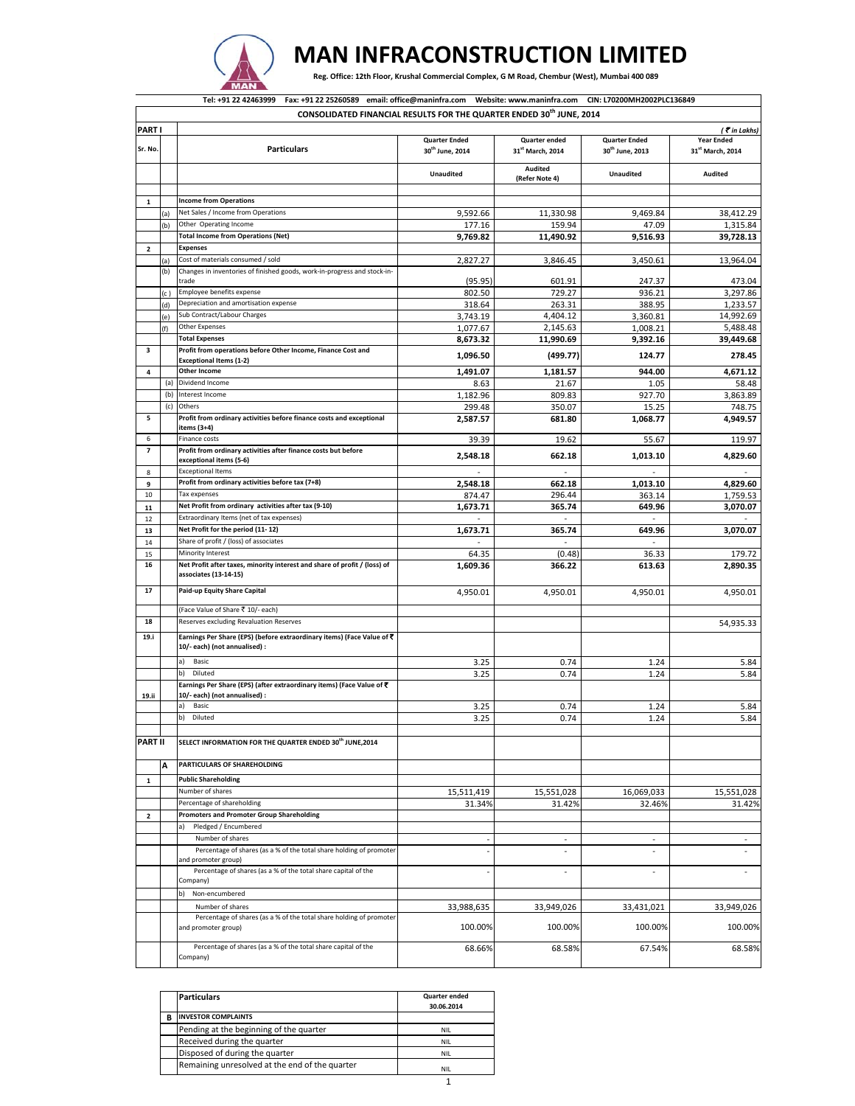

## **MAN INFRACONSTRUCTION LIMITED**

Reg. Office: 12th Floor, Krushal Commercial Complex, G M Road, Chembur (West), Mumbai 400 089

|                          |            | Fax: +91 22 25260589 email: office@maninfra.com Website: www.maninfra.com CIN: L70200MH2002PLC136849<br>Tel: +91 22 42463999<br>CONSOLIDATED FINANCIAL RESULTS FOR THE QUARTER ENDED 30 <sup>th</sup> JUNE, 2014 |                                                     |                                   |                                                     |                                       |
|--------------------------|------------|------------------------------------------------------------------------------------------------------------------------------------------------------------------------------------------------------------------|-----------------------------------------------------|-----------------------------------|-----------------------------------------------------|---------------------------------------|
| <b>PART I</b>            |            |                                                                                                                                                                                                                  |                                                     |                                   |                                                     | $($ $\overline{\epsilon}$ in Lakhs)   |
| Sr. No.                  |            | <b>Particulars</b>                                                                                                                                                                                               | <b>Quarter Ended</b><br>30 <sup>th</sup> June, 2014 | Quarter ended<br>31st March, 2014 | <b>Quarter Ended</b><br>30 <sup>th</sup> June, 2013 | <b>Year Ended</b><br>31st March, 2014 |
|                          |            |                                                                                                                                                                                                                  | <b>Unaudited</b>                                    | Audited<br>(Refer Note 4)         | <b>Unaudited</b>                                    | <b>Audited</b>                        |
|                          |            |                                                                                                                                                                                                                  |                                                     |                                   |                                                     |                                       |
| $\mathbf 1$              |            | <b>Income from Operations</b>                                                                                                                                                                                    |                                                     |                                   |                                                     |                                       |
|                          | (a)        | Net Sales / Income from Operations<br>Other Operating Income                                                                                                                                                     | 9,592.66                                            | 11,330.98                         | 9,469.84                                            | 38,412.29                             |
|                          | (b)        | <b>Total Income from Operations (Net)</b>                                                                                                                                                                        | 177.16<br>9,769.82                                  | 159.94<br>11,490.92               | 47.09<br>9,516.93                                   | 1,315.84<br>39,728.13                 |
| $\overline{\mathbf{2}}$  |            | <b>Expenses</b>                                                                                                                                                                                                  |                                                     |                                   |                                                     |                                       |
|                          | (a)        | Cost of materials consumed / sold                                                                                                                                                                                | 2,827.27                                            | 3,846.45                          | 3,450.61                                            | 13,964.04                             |
|                          | (b)        | Changes in inventories of finished goods, work-in-progress and stock-in-<br>trade                                                                                                                                | (95.95)                                             | 601.91                            | 247.37                                              | 473.04                                |
|                          | (c '       | Employee benefits expense                                                                                                                                                                                        | 802.50                                              | 729.27                            | 936.21                                              | 3,297.86                              |
|                          | (d)        | Depreciation and amortisation expense                                                                                                                                                                            | 318.64                                              | 263.31                            | 388.95                                              | 1,233.57                              |
|                          | (e)        | Sub Contract/Labour Charges                                                                                                                                                                                      | 3,743.19                                            | 4,404.12                          | 3,360.81                                            | 14,992.69                             |
|                          | (f)        | Other Expenses                                                                                                                                                                                                   | 1,077.67                                            | 2,145.63                          | 1,008.21                                            | 5,488.48                              |
|                          |            | <b>Total Expenses</b>                                                                                                                                                                                            | 8,673.32                                            | 11,990.69                         | 9,392.16                                            | 39,449.68                             |
| 3                        |            | Profit from operations before Other Income, Finance Cost and<br><b>Exceptional Items (1-2)</b>                                                                                                                   | 1,096.50                                            | (499.77)                          | 124.77                                              | 278.45                                |
| 4                        |            | <b>Other Income</b>                                                                                                                                                                                              | 1,491.07                                            | 1,181.57                          | 944.00                                              | 4,671.12                              |
|                          | (a)        | Dividend Income                                                                                                                                                                                                  | 8.63                                                | 21.67                             | 1.05                                                | 58.48                                 |
|                          | (b)<br>(c) | Interest Income<br>Others                                                                                                                                                                                        | 1,182.96                                            | 809.83                            | 927.70                                              | 3,863.89                              |
| 5                        |            | Profit from ordinary activities before finance costs and exceptional                                                                                                                                             | 299.48<br>2,587.57                                  | 350.07<br>681.80                  | 15.25<br>1.068.77                                   | 748.75<br>4,949.57                    |
| 6                        |            | items (3+4)<br>Finance costs                                                                                                                                                                                     | 39.39                                               | 19.62                             | 55.67                                               | 119.97                                |
| $\overline{\phantom{a}}$ |            | Profit from ordinary activities after finance costs but before<br>exceptional items (5-6)                                                                                                                        | 2,548.18                                            | 662.18                            | 1,013.10                                            | 4,829.60                              |
| 8                        |            | <b>Exceptional Items</b>                                                                                                                                                                                         |                                                     | $\omega$                          |                                                     |                                       |
| 9                        |            | Profit from ordinary activities before tax (7+8)                                                                                                                                                                 | 2.548.18                                            | 662.18                            | 1,013.10                                            | 4,829.60                              |
| 10                       |            | Tax expenses                                                                                                                                                                                                     | 874.47                                              | 296.44                            | 363.14                                              | 1,759.53                              |
| 11                       |            | Net Profit from ordinary activities after tax (9-10)                                                                                                                                                             | 1,673.71                                            | 365.74                            | 649.96                                              | 3,070.07                              |
| 12                       |            | Extraordinary Items (net of tax expenses)                                                                                                                                                                        |                                                     |                                   |                                                     |                                       |
| 13                       |            | Net Profit for the period (11-12)                                                                                                                                                                                | 1,673.71                                            | 365.74                            | 649.96                                              | 3,070.07                              |
| 14                       |            | Share of profit / (loss) of associates                                                                                                                                                                           |                                                     |                                   |                                                     |                                       |
| 15                       |            | Minority Interest                                                                                                                                                                                                | 64.35                                               | (0.48)                            | 36.33                                               | 179.72                                |
| 16                       |            | Net Profit after taxes, minority interest and share of profit / (loss) of<br>associates (13-14-15)                                                                                                               | 1,609.36                                            | 366.22                            | 613.63                                              | 2,890.35                              |
| 17                       |            | Paid-up Equity Share Capital                                                                                                                                                                                     | 4,950.01                                            | 4,950.01                          | 4,950.01                                            | 4,950.01                              |
|                          |            | (Face Value of Share ₹ 10/- each)                                                                                                                                                                                |                                                     |                                   |                                                     |                                       |
| 18                       |            | Reserves excluding Revaluation Reserves                                                                                                                                                                          |                                                     |                                   |                                                     | 54,935.33                             |
| 19.i                     |            | Earnings Per Share (EPS) (before extraordinary items) (Face Value of ₹<br>10/- each) (not annualised) :                                                                                                          |                                                     |                                   |                                                     |                                       |
|                          |            | a)<br>Basic                                                                                                                                                                                                      | 3.25                                                | 0.74                              | 1.24                                                | 5.84                                  |
|                          |            | b)<br>Diluted                                                                                                                                                                                                    | 3.25                                                | 0.74                              | 1.24                                                | 5.84                                  |
| 19.ii                    |            | Earnings Per Share (EPS) (after extraordinary items) (Face Value of ₹<br>10/- each) (not annualised) :                                                                                                           |                                                     |                                   |                                                     |                                       |
|                          |            | a)<br>Basic                                                                                                                                                                                                      | 3.25                                                | 0.74                              | 1.24                                                | 5.84                                  |
|                          |            | b)<br>Diluted                                                                                                                                                                                                    | 3.25                                                | 0.74                              | 1.24                                                | 5.84                                  |
| <b>PART II</b>           |            | SELECT INFORMATION FOR THE QUARTER ENDED 30th JUNE,2014                                                                                                                                                          |                                                     |                                   |                                                     |                                       |
|                          | A          | PARTICULARS OF SHAREHOLDING                                                                                                                                                                                      |                                                     |                                   |                                                     |                                       |
|                          |            | <b>Public Shareholding</b>                                                                                                                                                                                       |                                                     |                                   |                                                     |                                       |
| $\mathbf 1$              |            | Number of shares                                                                                                                                                                                                 |                                                     |                                   |                                                     | 15,551,028                            |
|                          |            | Percentage of shareholding                                                                                                                                                                                       | 15,511,419<br>31.34%                                | 15,551,028<br>31.42%              | 16,069,033<br>32.46%                                | 31.42%                                |
| $\mathbf 2$              |            | <b>Promoters and Promoter Group Shareholding</b>                                                                                                                                                                 |                                                     |                                   |                                                     |                                       |
|                          |            | Pledged / Encumbered<br>a)                                                                                                                                                                                       |                                                     |                                   |                                                     |                                       |
|                          |            | Number of shares                                                                                                                                                                                                 | $\sim$                                              | $\bar{a}$                         | $\sim$                                              | $\overline{\phantom{a}}$              |
|                          |            | Percentage of shares (as a % of the total share holding of promoter<br>and promoter group)                                                                                                                       |                                                     |                                   |                                                     |                                       |
|                          |            | Percentage of shares (as a % of the total share capital of the<br>Company)                                                                                                                                       |                                                     |                                   | ä,                                                  |                                       |
|                          |            | b)<br>Non-encumbered                                                                                                                                                                                             |                                                     |                                   |                                                     |                                       |
|                          |            | Number of shares                                                                                                                                                                                                 | 33,988,635                                          | 33,949,026                        | 33,431,021                                          | 33,949,026                            |
|                          |            | Percentage of shares (as a % of the total share holding of promoter<br>and promoter group)                                                                                                                       | 100.00%                                             | 100.00%                           | 100.00%                                             | 100.00%                               |
|                          |            | Percentage of shares (as a % of the total share capital of the<br>Company)                                                                                                                                       | 68.66%                                              | 68.58%                            | 67.54%                                              | 68.58%                                |

|   | <b>Particulars</b>                             | Quarter ended<br>30.06.2014 |
|---|------------------------------------------------|-----------------------------|
| в | <b>INVESTOR COMPLAINTS</b>                     |                             |
|   | Pending at the beginning of the quarter        | NIL.                        |
|   | Received during the quarter                    | NIL.                        |
|   | Disposed of during the quarter                 | NIL.                        |
|   | Remaining unresolved at the end of the quarter | NIL.                        |